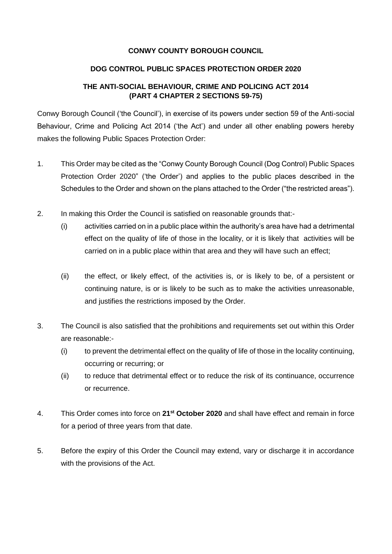## **CONWY COUNTY BOROUGH COUNCIL**

### **DOG CONTROL PUBLIC SPACES PROTECTION ORDER 2020**

## **THE ANTI-SOCIAL BEHAVIOUR, CRIME AND POLICING ACT 2014 (PART 4 CHAPTER 2 SECTIONS 59-75)**

Conwy Borough Council ('the Council'), in exercise of its powers under section 59 of the Anti-social Behaviour, Crime and Policing Act 2014 ('the Act') and under all other enabling powers hereby makes the following Public Spaces Protection Order:

- 1. This Order may be cited as the "Conwy County Borough Council (Dog Control) Public Spaces Protection Order 2020" ('the Order') and applies to the public places described in the Schedules to the Order and shown on the plans attached to the Order ("the restricted areas").
- 2. In making this Order the Council is satisfied on reasonable grounds that:-
	- (i) activities carried on in a public place within the authority's area have had a detrimental effect on the quality of life of those in the locality, or it is likely that activities will be carried on in a public place within that area and they will have such an effect;
	- (ii) the effect, or likely effect, of the activities is, or is likely to be, of a persistent or continuing nature, is or is likely to be such as to make the activities unreasonable, and justifies the restrictions imposed by the Order.
- 3. The Council is also satisfied that the prohibitions and requirements set out within this Order are reasonable:-
	- (i) to prevent the detrimental effect on the quality of life of those in the locality continuing, occurring or recurring; or
	- (ii) to reduce that detrimental effect or to reduce the risk of its continuance, occurrence or recurrence.
- 4. This Order comes into force on **21st October 2020** and shall have effect and remain in force for a period of three years from that date.
- 5. Before the expiry of this Order the Council may extend, vary or discharge it in accordance with the provisions of the Act.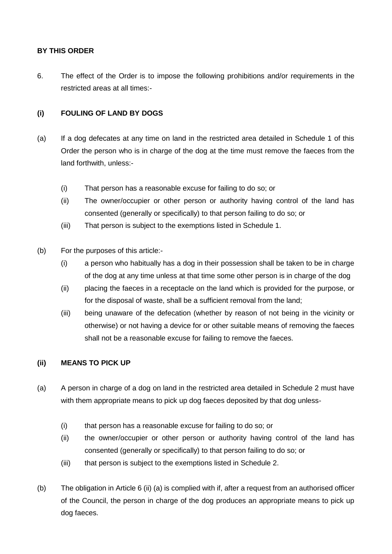## **BY THIS ORDER**

6. The effect of the Order is to impose the following prohibitions and/or requirements in the restricted areas at all times:-

## **(i) FOULING OF LAND BY DOGS**

- (a) If a dog defecates at any time on land in the restricted area detailed in Schedule 1 of this Order the person who is in charge of the dog at the time must remove the faeces from the land forthwith, unless:-
	- (i) That person has a reasonable excuse for failing to do so; or
	- (ii) The owner/occupier or other person or authority having control of the land has consented (generally or specifically) to that person failing to do so; or
	- (iii) That person is subject to the exemptions listed in Schedule 1.
- (b) For the purposes of this article:-
	- (i) a person who habitually has a dog in their possession shall be taken to be in charge of the dog at any time unless at that time some other person is in charge of the dog
	- (ii) placing the faeces in a receptacle on the land which is provided for the purpose, or for the disposal of waste, shall be a sufficient removal from the land;
	- (iii) being unaware of the defecation (whether by reason of not being in the vicinity or otherwise) or not having a device for or other suitable means of removing the faeces shall not be a reasonable excuse for failing to remove the faeces.

## **(ii) MEANS TO PICK UP**

- (a) A person in charge of a dog on land in the restricted area detailed in Schedule 2 must have with them appropriate means to pick up dog faeces deposited by that dog unless-
	- (i) that person has a reasonable excuse for failing to do so; or
	- (ii) the owner/occupier or other person or authority having control of the land has consented (generally or specifically) to that person failing to do so; or
	- (iii) that person is subject to the exemptions listed in Schedule 2.
- (b) The obligation in Article 6 (ii) (a) is complied with if, after a request from an authorised officer of the Council, the person in charge of the dog produces an appropriate means to pick up dog faeces.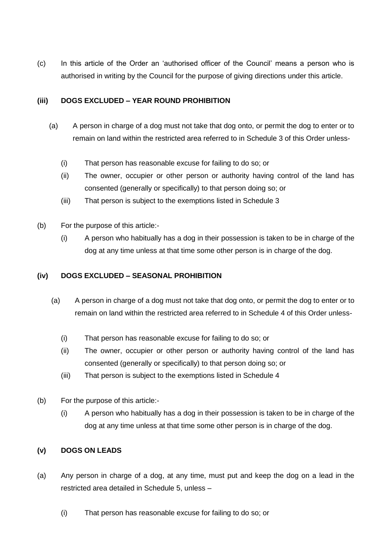(c) In this article of the Order an 'authorised officer of the Council' means a person who is authorised in writing by the Council for the purpose of giving directions under this article.

## **(iii) DOGS EXCLUDED – YEAR ROUND PROHIBITION**

- (a) A person in charge of a dog must not take that dog onto, or permit the dog to enter or to remain on land within the restricted area referred to in Schedule 3 of this Order unless-
	- (i) That person has reasonable excuse for failing to do so; or
	- (ii) The owner, occupier or other person or authority having control of the land has consented (generally or specifically) to that person doing so; or
	- (iii) That person is subject to the exemptions listed in Schedule 3
- (b) For the purpose of this article:-
	- (i) A person who habitually has a dog in their possession is taken to be in charge of the dog at any time unless at that time some other person is in charge of the dog.

## **(iv) DOGS EXCLUDED – SEASONAL PROHIBITION**

- (a) A person in charge of a dog must not take that dog onto, or permit the dog to enter or to remain on land within the restricted area referred to in Schedule 4 of this Order unless-
	- (i) That person has reasonable excuse for failing to do so; or
	- (ii) The owner, occupier or other person or authority having control of the land has consented (generally or specifically) to that person doing so; or
	- (iii) That person is subject to the exemptions listed in Schedule 4
- (b) For the purpose of this article:-
	- (i) A person who habitually has a dog in their possession is taken to be in charge of the dog at any time unless at that time some other person is in charge of the dog.

## **(v) DOGS ON LEADS**

- (a) Any person in charge of a dog, at any time, must put and keep the dog on a lead in the restricted area detailed in Schedule 5, unless –
	- (i) That person has reasonable excuse for failing to do so; or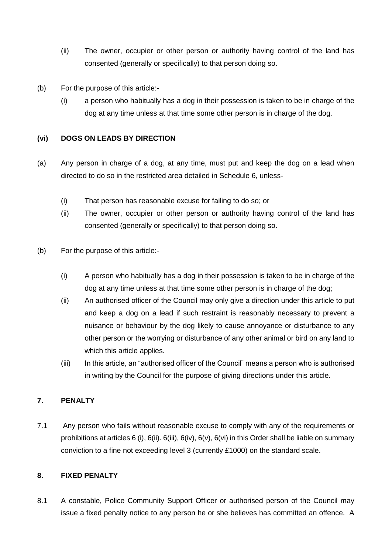- (ii) The owner, occupier or other person or authority having control of the land has consented (generally or specifically) to that person doing so.
- (b) For the purpose of this article:-
	- (i) a person who habitually has a dog in their possession is taken to be in charge of the dog at any time unless at that time some other person is in charge of the dog.

### **(vi) DOGS ON LEADS BY DIRECTION**

- (a) Any person in charge of a dog, at any time, must put and keep the dog on a lead when directed to do so in the restricted area detailed in Schedule 6, unless-
	- (i) That person has reasonable excuse for failing to do so; or
	- (ii) The owner, occupier or other person or authority having control of the land has consented (generally or specifically) to that person doing so.
- (b) For the purpose of this article:-
	- (i) A person who habitually has a dog in their possession is taken to be in charge of the dog at any time unless at that time some other person is in charge of the dog;
	- (ii) An authorised officer of the Council may only give a direction under this article to put and keep a dog on a lead if such restraint is reasonably necessary to prevent a nuisance or behaviour by the dog likely to cause annoyance or disturbance to any other person or the worrying or disturbance of any other animal or bird on any land to which this article applies.
	- (iii) In this article, an "authorised officer of the Council" means a person who is authorised in writing by the Council for the purpose of giving directions under this article.

## **7. PENALTY**

7.1 Any person who fails without reasonable excuse to comply with any of the requirements or prohibitions at articles 6 (i), 6(ii). 6(iii), 6(iv), 6(v), 6(vi) in this Order shall be liable on summary conviction to a fine not exceeding level 3 (currently £1000) on the standard scale.

## **8. FIXED PENALTY**

8.1 A constable, Police Community Support Officer or authorised person of the Council may issue a fixed penalty notice to any person he or she believes has committed an offence. A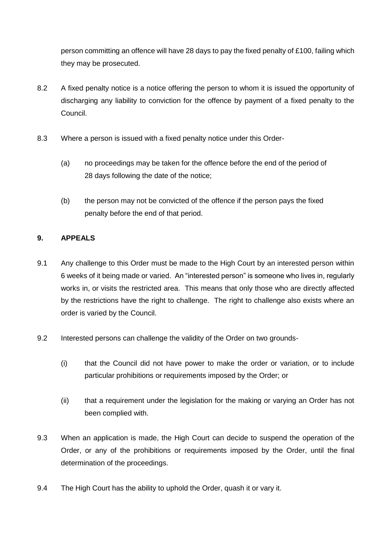person committing an offence will have 28 days to pay the fixed penalty of £100, failing which they may be prosecuted.

- 8.2 A fixed penalty notice is a notice offering the person to whom it is issued the opportunity of discharging any liability to conviction for the offence by payment of a fixed penalty to the Council.
- 8.3 Where a person is issued with a fixed penalty notice under this Order-
	- (a) no proceedings may be taken for the offence before the end of the period of 28 days following the date of the notice;
	- (b) the person may not be convicted of the offence if the person pays the fixed penalty before the end of that period.

## **9. APPEALS**

- 9.1 Any challenge to this Order must be made to the High Court by an interested person within 6 weeks of it being made or varied. An "interested person" is someone who lives in, regularly works in, or visits the restricted area. This means that only those who are directly affected by the restrictions have the right to challenge. The right to challenge also exists where an order is varied by the Council.
- 9.2 Interested persons can challenge the validity of the Order on two grounds-
	- (i) that the Council did not have power to make the order or variation, or to include particular prohibitions or requirements imposed by the Order; or
	- (ii) that a requirement under the legislation for the making or varying an Order has not been complied with.
- 9.3 When an application is made, the High Court can decide to suspend the operation of the Order, or any of the prohibitions or requirements imposed by the Order, until the final determination of the proceedings.
- 9.4 The High Court has the ability to uphold the Order, quash it or vary it.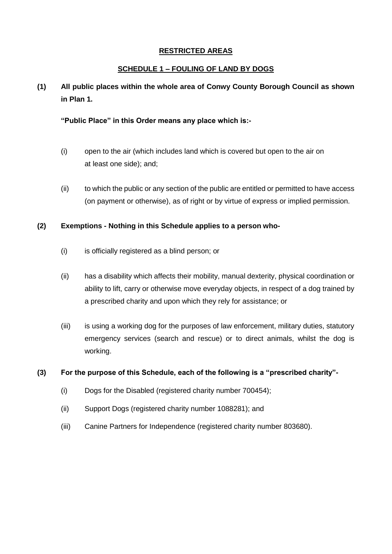### **RESTRICTED AREAS**

### **SCHEDULE 1 – FOULING OF LAND BY DOGS**

# **(1) All public places within the whole area of Conwy County Borough Council as shown in Plan 1.**

#### **"Public Place" in this Order means any place which is:-**

- (i) open to the air (which includes land which is covered but open to the air on at least one side); and;
- (ii) to which the public or any section of the public are entitled or permitted to have access (on payment or otherwise), as of right or by virtue of express or implied permission.

### **(2) Exemptions - Nothing in this Schedule applies to a person who-**

- (i) is officially registered as a blind person; or
- (ii) has a disability which affects their mobility, manual dexterity, physical coordination or ability to lift, carry or otherwise move everyday objects, in respect of a dog trained by a prescribed charity and upon which they rely for assistance; or
- (iii) is using a working dog for the purposes of law enforcement, military duties, statutory emergency services (search and rescue) or to direct animals, whilst the dog is working.

- (i) Dogs for the Disabled (registered charity number 700454);
- (ii) Support Dogs (registered charity number 1088281); and
- (iii) Canine Partners for Independence (registered charity number 803680).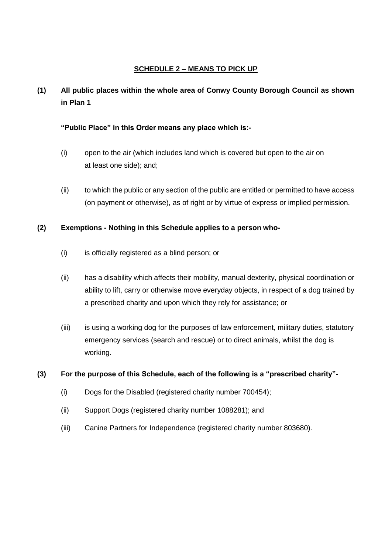### **SCHEDULE 2 – MEANS TO PICK UP**

# **(1) All public places within the whole area of Conwy County Borough Council as shown in Plan 1**

#### **"Public Place" in this Order means any place which is:-**

- (i) open to the air (which includes land which is covered but open to the air on at least one side); and;
- (ii) to which the public or any section of the public are entitled or permitted to have access (on payment or otherwise), as of right or by virtue of express or implied permission.

### **(2) Exemptions - Nothing in this Schedule applies to a person who-**

- (i) is officially registered as a blind person; or
- (ii) has a disability which affects their mobility, manual dexterity, physical coordination or ability to lift, carry or otherwise move everyday objects, in respect of a dog trained by a prescribed charity and upon which they rely for assistance; or
- (iii) is using a working dog for the purposes of law enforcement, military duties, statutory emergency services (search and rescue) or to direct animals, whilst the dog is working.

- (i) Dogs for the Disabled (registered charity number 700454);
- (ii) Support Dogs (registered charity number 1088281); and
- (iii) Canine Partners for Independence (registered charity number 803680).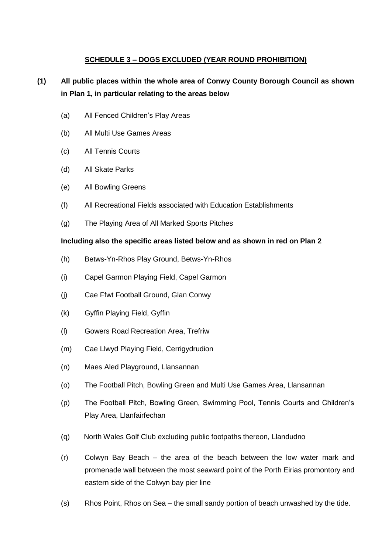## **SCHEDULE 3 – DOGS EXCLUDED (YEAR ROUND PROHIBITION)**

# **(1) All public places within the whole area of Conwy County Borough Council as shown in Plan 1, in particular relating to the areas below**

- (a) All Fenced Children's Play Areas
- (b) All Multi Use Games Areas
- (c) All Tennis Courts
- (d) All Skate Parks
- (e) All Bowling Greens
- (f) All Recreational Fields associated with Education Establishments
- (g) The Playing Area of All Marked Sports Pitches

#### **Including also the specific areas listed below and as shown in red on Plan 2**

- (h) Betws-Yn-Rhos Play Ground, Betws-Yn-Rhos
- (i) Capel Garmon Playing Field, Capel Garmon
- (j) Cae Ffwt Football Ground, Glan Conwy
- (k) Gyffin Playing Field, Gyffin
- (l) Gowers Road Recreation Area, Trefriw
- (m) Cae Llwyd Playing Field, Cerrigydrudion
- (n) Maes Aled Playground, Llansannan
- (o) The Football Pitch, Bowling Green and Multi Use Games Area, Llansannan
- (p) The Football Pitch, Bowling Green, Swimming Pool, Tennis Courts and Children's Play Area, Llanfairfechan
- (q) North Wales Golf Club excluding public footpaths thereon, Llandudno
- (r) Colwyn Bay Beach the area of the beach between the low water mark and promenade wall between the most seaward point of the Porth Eirias promontory and eastern side of the Colwyn bay pier line
- (s) Rhos Point, Rhos on Sea the small sandy portion of beach unwashed by the tide.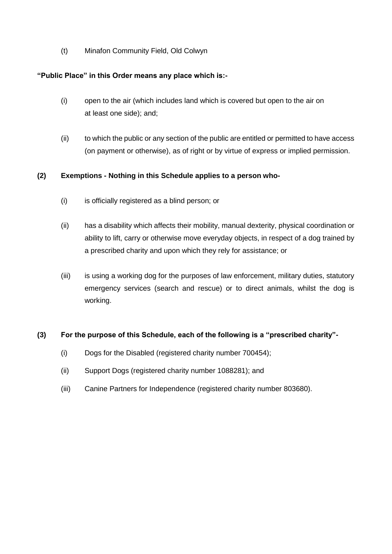(t) Minafon Community Field, Old Colwyn

## **"Public Place" in this Order means any place which is:-**

- (i) open to the air (which includes land which is covered but open to the air on at least one side); and;
- (ii) to which the public or any section of the public are entitled or permitted to have access (on payment or otherwise), as of right or by virtue of express or implied permission.

## **(2) Exemptions - Nothing in this Schedule applies to a person who-**

- (i) is officially registered as a blind person; or
- (ii) has a disability which affects their mobility, manual dexterity, physical coordination or ability to lift, carry or otherwise move everyday objects, in respect of a dog trained by a prescribed charity and upon which they rely for assistance; or
- (iii) is using a working dog for the purposes of law enforcement, military duties, statutory emergency services (search and rescue) or to direct animals, whilst the dog is working.

- (i) Dogs for the Disabled (registered charity number 700454);
- (ii) Support Dogs (registered charity number 1088281); and
- (iii) Canine Partners for Independence (registered charity number 803680).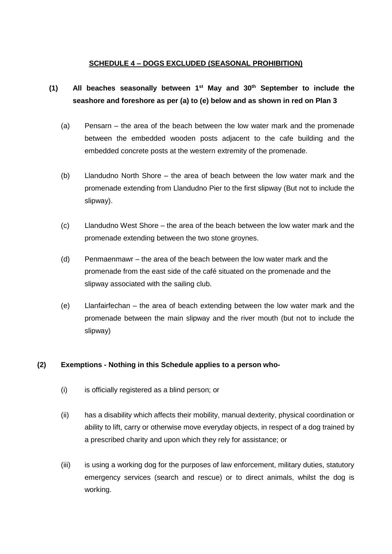## **SCHEDULE 4 – DOGS EXCLUDED (SEASONAL PROHIBITION)**

# **(1) All beaches seasonally between 1st May and 30th September to include the seashore and foreshore as per (a) to (e) below and as shown in red on Plan 3**

- (a) Pensarn the area of the beach between the low water mark and the promenade between the embedded wooden posts adjacent to the cafe building and the embedded concrete posts at the western extremity of the promenade.
- (b) Llandudno North Shore the area of beach between the low water mark and the promenade extending from Llandudno Pier to the first slipway (But not to include the slipway).
- (c) Llandudno West Shore the area of the beach between the low water mark and the promenade extending between the two stone groynes.
- (d) Penmaenmawr the area of the beach between the low water mark and the promenade from the east side of the café situated on the promenade and the slipway associated with the sailing club.
- (e) Llanfairfechan the area of beach extending between the low water mark and the promenade between the main slipway and the river mouth (but not to include the slipway)

## **(2) Exemptions - Nothing in this Schedule applies to a person who-**

- (i) is officially registered as a blind person; or
- (ii) has a disability which affects their mobility, manual dexterity, physical coordination or ability to lift, carry or otherwise move everyday objects, in respect of a dog trained by a prescribed charity and upon which they rely for assistance; or
- (iii) is using a working dog for the purposes of law enforcement, military duties, statutory emergency services (search and rescue) or to direct animals, whilst the dog is working.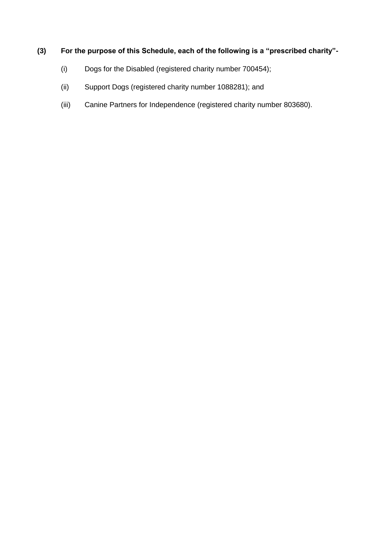- (i) Dogs for the Disabled (registered charity number 700454);
- (ii) Support Dogs (registered charity number 1088281); and
- (iii) Canine Partners for Independence (registered charity number 803680).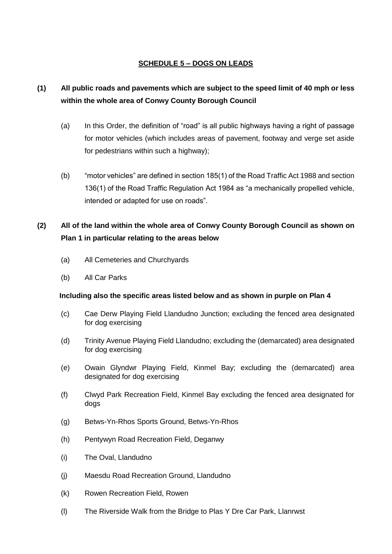## **SCHEDULE 5 – DOGS ON LEADS**

# **(1) All public roads and pavements which are subject to the speed limit of 40 mph or less within the whole area of Conwy County Borough Council**

- (a) In this Order, the definition of "road" is all public highways having a right of passage for motor vehicles (which includes areas of pavement, footway and verge set aside for pedestrians within such a highway);
- (b) "motor vehicles" are defined in section 185(1) of the Road Traffic Act 1988 and section 136(1) of the Road Traffic Regulation Act 1984 as "a mechanically propelled vehicle, intended or adapted for use on roads".

# **(2) All of the land within the whole area of Conwy County Borough Council as shown on Plan 1 in particular relating to the areas below**

- (a) All Cemeteries and Churchyards
- (b) All Car Parks

#### **Including also the specific areas listed below and as shown in purple on Plan 4**

- (c) Cae Derw Playing Field Llandudno Junction; excluding the fenced area designated for dog exercising
- (d) Trinity Avenue Playing Field Llandudno; excluding the (demarcated) area designated for dog exercising
- (e) Owain Glyndwr Playing Field, Kinmel Bay; excluding the (demarcated) area designated for dog exercising
- (f) Clwyd Park Recreation Field, Kinmel Bay excluding the fenced area designated for dogs
- (g) Betws-Yn-Rhos Sports Ground, Betws-Yn-Rhos
- (h) Pentywyn Road Recreation Field, Deganwy
- (i) The Oval, Llandudno
- (j) Maesdu Road Recreation Ground, Llandudno
- (k) Rowen Recreation Field, Rowen
- (l) The Riverside Walk from the Bridge to Plas Y Dre Car Park, Llanrwst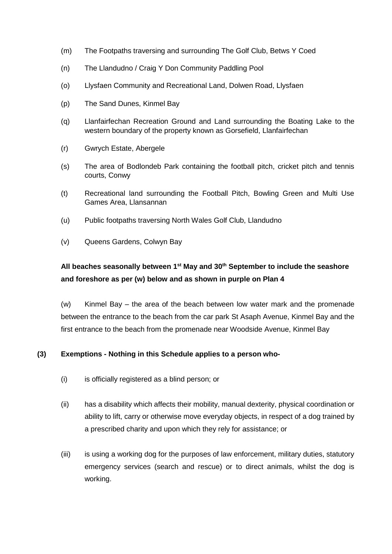- (m) The Footpaths traversing and surrounding The Golf Club, Betws Y Coed
- (n) The Llandudno / Craig Y Don Community Paddling Pool
- (o) Llysfaen Community and Recreational Land, Dolwen Road, Llysfaen
- (p) The Sand Dunes, Kinmel Bay
- (q) Llanfairfechan Recreation Ground and Land surrounding the Boating Lake to the western boundary of the property known as Gorsefield, Llanfairfechan
- (r) Gwrych Estate, Abergele
- (s) The area of Bodlondeb Park containing the football pitch, cricket pitch and tennis courts, Conwy
- (t) Recreational land surrounding the Football Pitch, Bowling Green and Multi Use Games Area, Llansannan
- (u) Public footpaths traversing North Wales Golf Club, Llandudno
- (v) Queens Gardens, Colwyn Bay

# **All beaches seasonally between 1st May and 30th September to include the seashore and foreshore as per (w) below and as shown in purple on Plan 4**

(w) Kinmel Bay – the area of the beach between low water mark and the promenade between the entrance to the beach from the car park St Asaph Avenue, Kinmel Bay and the first entrance to the beach from the promenade near Woodside Avenue, Kinmel Bay

## **(3) Exemptions - Nothing in this Schedule applies to a person who-**

- (i) is officially registered as a blind person; or
- (ii) has a disability which affects their mobility, manual dexterity, physical coordination or ability to lift, carry or otherwise move everyday objects, in respect of a dog trained by a prescribed charity and upon which they rely for assistance; or
- (iii) is using a working dog for the purposes of law enforcement, military duties, statutory emergency services (search and rescue) or to direct animals, whilst the dog is working.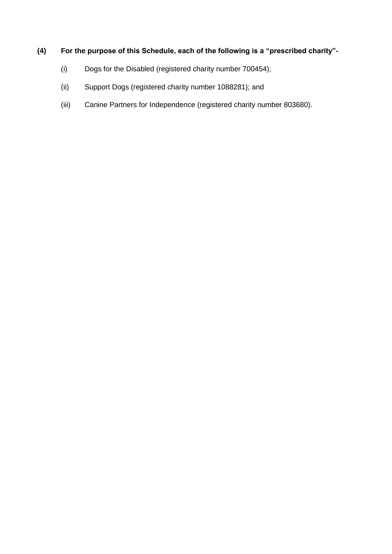- (i) Dogs for the Disabled (registered charity number 700454);
- (ii) Support Dogs (registered charity number 1088281); and
- (iii) Canine Partners for Independence (registered charity number 803680).